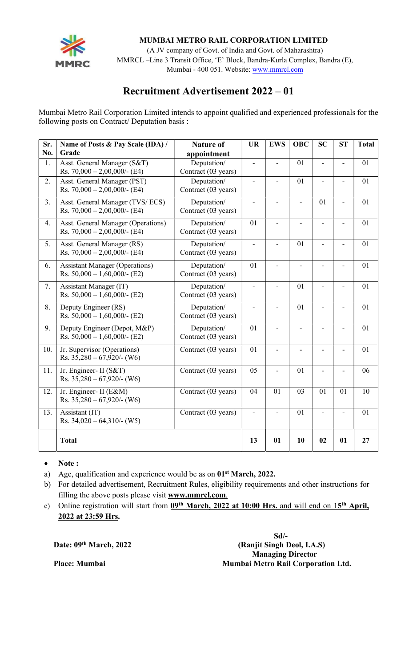

Mumbai - 400 051. Website: <u>www.<mark>mmrcl.com</mark></u> (A JV company of Govt. of India and Govt. of Maharashtra) MMRCL –Line 3 Transit Office, 'E' Block, Bandra-Kurla Complex, Bandra (E),

# Recruitment Advertisement 2022 – 01

Mumbai Metro Rail Corporation Limited intends to appoint qualified and experienced professionals for the following posts on Contract/ Deputation basis :

| Sr. | Name of Posts & Pay Scale (IDA) /                                     | <b>Nature of</b>                   | <b>UR</b>                | <b>EWS</b>                   | <b>OBC</b>               | <b>SC</b>      | <b>ST</b>      | <b>Total</b> |
|-----|-----------------------------------------------------------------------|------------------------------------|--------------------------|------------------------------|--------------------------|----------------|----------------|--------------|
| No. | Grade                                                                 | appointment                        |                          |                              |                          |                |                |              |
| 1.  | Asst. General Manager (S&T)<br>Rs. $70,000 - 2,00,000/$ - (E4)        | Deputation/<br>Contract (03 years) | $\overline{a}$           |                              | 01                       |                |                | 01           |
| 2.  | Asst. General Manager (PST)<br>Rs. $70,000 - 2,00,000/$ - (E4)        | Deputation/<br>Contract (03 years) | $\blacksquare$           | $\qquad \qquad \blacksquare$ | 01                       | L,             |                | 01           |
| 3.  | Asst. General Manager (TVS/ECS)<br>Rs. $70,000 - 2,00,000$ /- (E4)    | Deputation/<br>Contract (03 years) | $\overline{\phantom{a}}$ |                              | $\overline{\phantom{0}}$ | 01             |                | 01           |
| 4.  | Asst. General Manager (Operations)<br>Rs. $70,000 - 2,00,000/$ - (E4) | Deputation/<br>Contract (03 years) | 01                       | $\overline{a}$               | $\overline{\phantom{a}}$ | $\overline{a}$ | L.             | 01           |
| 5.  | Asst. General Manager (RS)<br>Rs. $70,000 - 2,00,000$ /- (E4)         | Deputation/<br>Contract (03 years) | $\blacksquare$           | ÷,                           | 01                       |                | L              | 01           |
| 6.  | <b>Assistant Manager (Operations)</b><br>Rs. $50,000 - 1,60,000$ (E2) | Deputation/<br>Contract (03 years) | 01                       | $\overline{a}$               | $\overline{\phantom{a}}$ | $\overline{a}$ | L,             | 01           |
| 7.  | Assistant Manager (IT)<br>Rs. $50,000 - 1,60,000$ (E2)                | Deputation/<br>Contract (03 years) | $\overline{\phantom{a}}$ | ÷,                           | 01                       |                |                | 01           |
| 8.  | Deputy Engineer (RS)<br>Rs. $50,000 - 1,60,000$ (E2)                  | Deputation/<br>Contract (03 years) | $\overline{a}$           | ÷,                           | 01                       | $\overline{a}$ | $\overline{a}$ | 01           |
| 9.  | Deputy Engineer (Depot, M&P)<br>Rs. $50,000 - 1,60,000$ (E2)          | Deputation/<br>Contract (03 years) | 01                       |                              | $\blacksquare$           |                |                | 01           |
| 10. | Jr. Supervisor (Operations)<br>Rs. $35,280 - 67,920/$ - (W6)          | Contract (03 years)                | 01                       | $\blacksquare$               | $\blacksquare$           | $\blacksquare$ | $\overline{a}$ | 01           |
| 11. | Jr. Engineer- II (S&T)<br>Rs. $35,280 - 67,920/$ - (W6)               | Contract (03 years)                | $\overline{05}$          | $\blacksquare$               | 01                       | $\overline{a}$ |                | 06           |
| 12. | Jr. Engineer- II (E&M)<br>Rs. $35,280 - 67,920/$ - (W6)               | Contract (03 years)                | 04                       | 01                           | 03                       | 01             | 01             | 10           |
| 13. | Assistant (IT)<br>Rs. $34,020 - 64,310/-(W5)$                         | Contract (03 years)                | $\mathbf{r}$             |                              | 01                       |                |                | 01           |
|     | <b>Total</b>                                                          |                                    | 13                       | 01                           | 10                       | 02             | 01             | 27           |

• Note:

- a) Age, qualification and experience would be as on 01<sup>st</sup> March, 2022.
- b) For detailed advertisement, Recruitment Rules, eligibility requirements and other instructions for filling the above posts please visit www.mmrcl.com.
- c) Online registration will start from 09<sup>th</sup> March, 2022 at 10:00 Hrs. and will end on 15<sup>th</sup> April, 2022 at 23:59 Hrs.

 Sd/- Date: 09<sup>th</sup> March, 2022 (Ranjit Singh Deol, I.A.S) Managing Director Place: Mumbai **Mumbai Metro Rail Corporation Ltd.**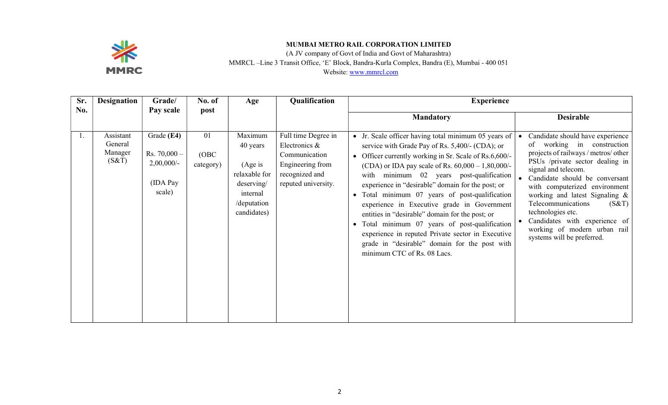

(A JV company of Govt of India and Govt of Maharashtra) MMRCL –Line 3 Transit Office, 'E' Block, Bandra-Kurla Complex, Bandra (E), Mumbai - 400 051

| Sr. | <b>Designation</b>                       | Grade/                                                              | No. of                   | Age                                                                                                      | Qualification                                                                                                      | <b>Experience</b>                                                                                                                                                                                                                                                                                                                                                                                                                                                                                                                                                                                                                                                                |                                                                                                                                                                                                                                                                                                                                                                                                                                 |
|-----|------------------------------------------|---------------------------------------------------------------------|--------------------------|----------------------------------------------------------------------------------------------------------|--------------------------------------------------------------------------------------------------------------------|----------------------------------------------------------------------------------------------------------------------------------------------------------------------------------------------------------------------------------------------------------------------------------------------------------------------------------------------------------------------------------------------------------------------------------------------------------------------------------------------------------------------------------------------------------------------------------------------------------------------------------------------------------------------------------|---------------------------------------------------------------------------------------------------------------------------------------------------------------------------------------------------------------------------------------------------------------------------------------------------------------------------------------------------------------------------------------------------------------------------------|
| No. |                                          | Pay scale                                                           | post                     |                                                                                                          |                                                                                                                    | <b>Mandatory</b>                                                                                                                                                                                                                                                                                                                                                                                                                                                                                                                                                                                                                                                                 | <b>Desirable</b>                                                                                                                                                                                                                                                                                                                                                                                                                |
| 1.  | Assistant<br>General<br>Manager<br>(S&T) | Grade (E4)<br>$Rs. 70,000 -$<br>$2,00,000/$ -<br>(IDA Pay<br>scale) | 01<br>(OBC)<br>category) | Maximum<br>40 years<br>(Age is)<br>relaxable for<br>deserving/<br>internal<br>/deputation<br>candidates) | Full time Degree in<br>Electronics &<br>Communication<br>Engineering from<br>recognized and<br>reputed university. | • Jr. Scale officer having total minimum 05 years of<br>service with Grade Pay of Rs. 5,400/- (CDA); or<br>• Officer currently working in Sr. Scale of Rs.6,600/-<br>(CDA) or IDA pay scale of Rs. $60,000 - 1,80,000$ .<br>minimum 02 years post-qualification<br>with<br>experience in "desirable" domain for the post; or<br>Total minimum 07 years of post-qualification<br>$\bullet$<br>experience in Executive grade in Government<br>entities in "desirable" domain for the post; or<br>Total minimum 07 years of post-qualification<br>experience in reputed Private sector in Executive<br>grade in "desirable" domain for the post with<br>minimum CTC of Rs. 08 Lacs. | Candidate should have experience<br>of working in<br>construction<br>projects of railways / metros/ other<br>PSUs /private sector dealing in<br>signal and telecom.<br>• Candidate should be conversant<br>with computerized environment<br>working and latest Signaling &<br>Telecommunications<br>(S&T)<br>technologies etc.<br>• Candidates with experience of<br>working of modern urban rail<br>systems will be preferred. |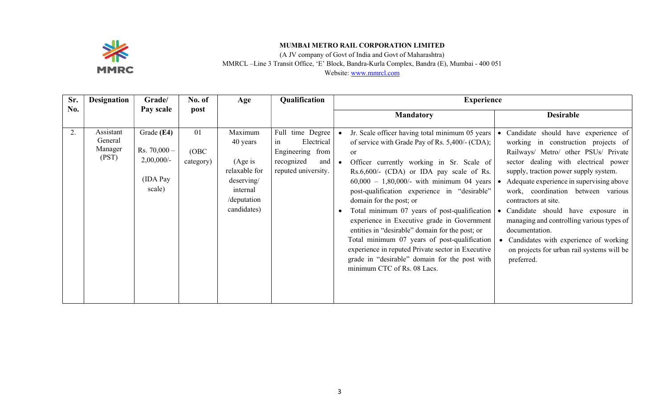

(A JV company of Govt of India and Govt of Maharashtra)

MMRCL –Line 3 Transit Office, 'E' Block, Bandra-Kurla Complex, Bandra (E), Mumbai - 400 051

| Sr. | <b>Designation</b>                       | Grade/                                                               | No. of                   | Age                                                                                                      | Qualification                                                                                        | <b>Experience</b>                                                                                                                                                                                                                                                                                                                                                                                                                                                                                                                                                                                                                                                              |                                                                                                                                                                                                                                                                                                                                                                                                                                                                                                                        |
|-----|------------------------------------------|----------------------------------------------------------------------|--------------------------|----------------------------------------------------------------------------------------------------------|------------------------------------------------------------------------------------------------------|--------------------------------------------------------------------------------------------------------------------------------------------------------------------------------------------------------------------------------------------------------------------------------------------------------------------------------------------------------------------------------------------------------------------------------------------------------------------------------------------------------------------------------------------------------------------------------------------------------------------------------------------------------------------------------|------------------------------------------------------------------------------------------------------------------------------------------------------------------------------------------------------------------------------------------------------------------------------------------------------------------------------------------------------------------------------------------------------------------------------------------------------------------------------------------------------------------------|
| No. |                                          | Pay scale                                                            | post                     |                                                                                                          |                                                                                                      | <b>Mandatory</b>                                                                                                                                                                                                                                                                                                                                                                                                                                                                                                                                                                                                                                                               | <b>Desirable</b>                                                                                                                                                                                                                                                                                                                                                                                                                                                                                                       |
| 2.  | Assistant<br>General<br>Manager<br>(PST) | Grade (E4)<br>$Rs. 70,000 -$<br>$2,00,000/$ -<br>(IDA Pay)<br>scale) | 01<br>(OBC)<br>category) | Maximum<br>40 years<br>(Age is)<br>relaxable for<br>deserving/<br>internal<br>/deputation<br>candidates) | Full time Degree<br>Electrical<br>in<br>Engineering from<br>recognized<br>and<br>reputed university. | Jr. Scale officer having total minimum 05 years<br>of service with Grade Pay of Rs. 5,400/- (CDA);<br><sub>or</sub><br>Officer currently working in Sr. Scale of<br>Rs.6,600/- (CDA) or IDA pay scale of Rs.<br>$60,000 - 1,80,000/$ - with minimum 04 years<br>post-qualification experience in "desirable"<br>domain for the post; or<br>Total minimum 07 years of post-qualification<br>experience in Executive grade in Government<br>entities in "desirable" domain for the post; or<br>Total minimum 07 years of post-qualification<br>experience in reputed Private sector in Executive<br>grade in "desirable" domain for the post with<br>minimum CTC of Rs. 08 Lacs. | Candidate should have experience of<br>working in construction projects of<br>Railways/ Metro/ other PSUs/ Private<br>sector dealing with electrical power<br>supply, traction power supply system.<br>Adequate experience in supervising above<br>work, coordination between various<br>contractors at site.<br>Candidate should have exposure in<br>managing and controlling various types of<br>documentation.<br>Candidates with experience of working<br>on projects for urban rail systems will be<br>preferred. |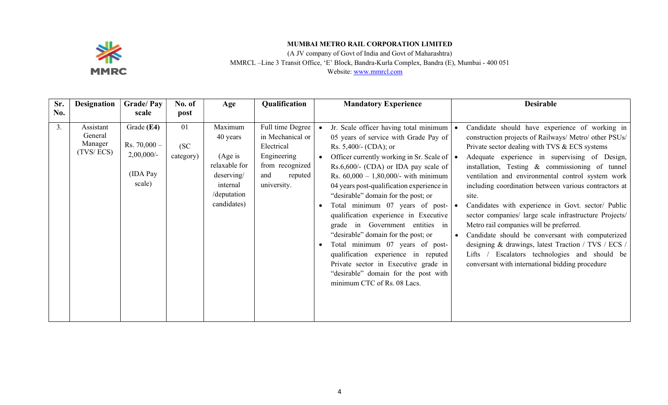

(A JV company of Govt of India and Govt of Maharashtra)

MMRCL –Line 3 Transit Office, 'E' Block, Bandra-Kurla Complex, Bandra (E), Mumbai - 400 051

| Sr. | <b>Designation</b>                           | <b>Grade/Pay</b>                                                    | No. of                  | Age                                                                                                     | Qualification                                                                                                         |           | <b>Mandatory Experience</b>                                                                                                                                                                                                                                                                                                                                                                                                                                                                                                                                                                                                                                                                                                | <b>Desirable</b>                                                                                                                                                                                                                                                                                                                                                                                                                                                                                                                                                                                                                                                                                                                                                          |
|-----|----------------------------------------------|---------------------------------------------------------------------|-------------------------|---------------------------------------------------------------------------------------------------------|-----------------------------------------------------------------------------------------------------------------------|-----------|----------------------------------------------------------------------------------------------------------------------------------------------------------------------------------------------------------------------------------------------------------------------------------------------------------------------------------------------------------------------------------------------------------------------------------------------------------------------------------------------------------------------------------------------------------------------------------------------------------------------------------------------------------------------------------------------------------------------------|---------------------------------------------------------------------------------------------------------------------------------------------------------------------------------------------------------------------------------------------------------------------------------------------------------------------------------------------------------------------------------------------------------------------------------------------------------------------------------------------------------------------------------------------------------------------------------------------------------------------------------------------------------------------------------------------------------------------------------------------------------------------------|
| No. |                                              | scale                                                               | post                    |                                                                                                         |                                                                                                                       |           |                                                                                                                                                                                                                                                                                                                                                                                                                                                                                                                                                                                                                                                                                                                            |                                                                                                                                                                                                                                                                                                                                                                                                                                                                                                                                                                                                                                                                                                                                                                           |
| 3.  | Assistant<br>General<br>Manager<br>(TVS/ECS) | Grade (E4)<br>$Rs. 70,000 -$<br>$2,00,000/$ -<br>(IDA Pay<br>scale) | 01<br>(SC)<br>category) | Maximum<br>40 years<br>(Age is<br>relaxable for<br>deserving/<br>internal<br>/deputation<br>candidates) | Full time Degree<br>in Mechanical or<br>Electrical<br>Engineering<br>from recognized<br>and<br>reputed<br>university. | $\bullet$ | Jr. Scale officer having total minimum<br>05 years of service with Grade Pay of<br>Rs. $5,400/$ - (CDA); or<br>Officer currently working in Sr. Scale of $\vert \bullet \vert$<br>Rs.6,600/- (CDA) or IDA pay scale of<br>Rs. $60,000 - 1,80,000/$ - with minimum<br>04 years post-qualification experience in<br>"desirable" domain for the post; or<br>Total minimum 07 years of post- $\vert \bullet \vert$<br>qualification experience in Executive<br>grade in Government entities in<br>"desirable" domain for the post; or<br>Total minimum 07 years of post-<br>qualification experience in reputed<br>Private sector in Executive grade in<br>"desirable" domain for the post with<br>minimum CTC of Rs. 08 Lacs. | Candidate should have experience of working in<br>construction projects of Railways/ Metro/ other PSUs/<br>Private sector dealing with TVS & ECS systems<br>Adequate experience in supervising of Design,<br>installation, Testing & commissioning of tunnel<br>ventilation and environmental control system work<br>including coordination between various contractors at<br>site.<br>Candidates with experience in Govt. sector/ Public<br>sector companies/ large scale infrastructure Projects/<br>Metro rail companies will be preferred.<br>Candidate should be conversant with computerized<br>designing & drawings, latest Traction / TVS / ECS /<br>Escalators technologies and should be<br>Lifts $\sqrt{ }$<br>conversant with international bidding procedure |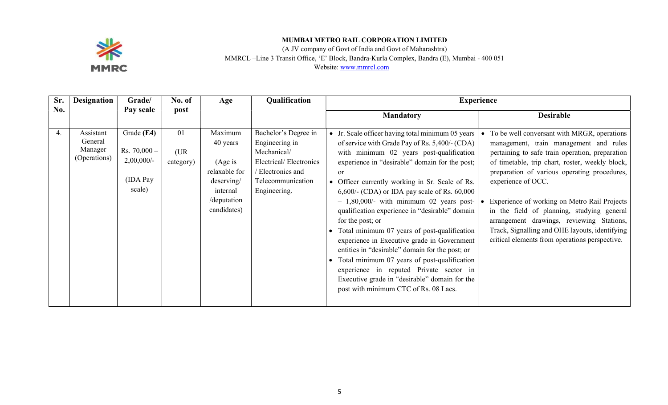

(A JV company of Govt of India and Govt of Maharashtra)

MMRCL –Line 3 Transit Office, 'E' Block, Bandra-Kurla Complex, Bandra (E), Mumbai - 400 051

| Sr. | Designation                                     | Grade/                                                              | No. of                  | Age                                                                                                     | Qualification                                                                                                                             | <b>Experience</b>                                                                                                                                                                                                                                                                                                                                                                                                                                                                                                                                                                                                                                                                                                                                                                            |                                                                                                                                                                                                                                                                                                                                                                                                                                                                                                                  |
|-----|-------------------------------------------------|---------------------------------------------------------------------|-------------------------|---------------------------------------------------------------------------------------------------------|-------------------------------------------------------------------------------------------------------------------------------------------|----------------------------------------------------------------------------------------------------------------------------------------------------------------------------------------------------------------------------------------------------------------------------------------------------------------------------------------------------------------------------------------------------------------------------------------------------------------------------------------------------------------------------------------------------------------------------------------------------------------------------------------------------------------------------------------------------------------------------------------------------------------------------------------------|------------------------------------------------------------------------------------------------------------------------------------------------------------------------------------------------------------------------------------------------------------------------------------------------------------------------------------------------------------------------------------------------------------------------------------------------------------------------------------------------------------------|
| No. |                                                 | Pay scale                                                           | post                    |                                                                                                         |                                                                                                                                           | <b>Mandatory</b>                                                                                                                                                                                                                                                                                                                                                                                                                                                                                                                                                                                                                                                                                                                                                                             | <b>Desirable</b>                                                                                                                                                                                                                                                                                                                                                                                                                                                                                                 |
| 4.  | Assistant<br>General<br>Manager<br>(Operations) | Grade (E4)<br>$Rs. 70,000 -$<br>$2,00,000/$ -<br>(IDA Pay<br>scale) | 01<br>(UR)<br>category) | Maximum<br>40 years<br>(Age is<br>relaxable for<br>deserving/<br>internal<br>/deputation<br>candidates) | Bachelor's Degree in<br>Engineering in<br>Mechanical/<br>Electrical/Electronics<br>/ Electronics and<br>Telecommunication<br>Engineering. | • Jr. Scale officer having total minimum 05 years<br>of service with Grade Pay of Rs. 5,400/- (CDA)<br>with minimum 02 years post-qualification<br>experience in "desirable" domain for the post;<br><b>or</b><br>Officer currently working in Sr. Scale of Rs.<br>$\bullet$<br>$6,600/$ - (CDA) or IDA pay scale of Rs. $60,000$<br>$-1,80,000/$ - with minimum 02 years post-<br>qualification experience in "desirable" domain<br>for the post; or<br>Total minimum 07 years of post-qualification<br>experience in Executive grade in Government<br>entities in "desirable" domain for the post; or<br>Total minimum 07 years of post-qualification<br>experience in reputed Private sector in<br>Executive grade in "desirable" domain for the<br>post with minimum CTC of Rs. 08 Lacs. | To be well conversant with MRGR, operations<br>management, train management and rules<br>pertaining to safe train operation, preparation<br>of timetable, trip chart, roster, weekly block,<br>preparation of various operating procedures,<br>experience of OCC.<br>Experience of working on Metro Rail Projects<br>in the field of planning, studying general<br>arrangement drawings, reviewing Stations,<br>Track, Signalling and OHE layouts, identifying<br>critical elements from operations perspective. |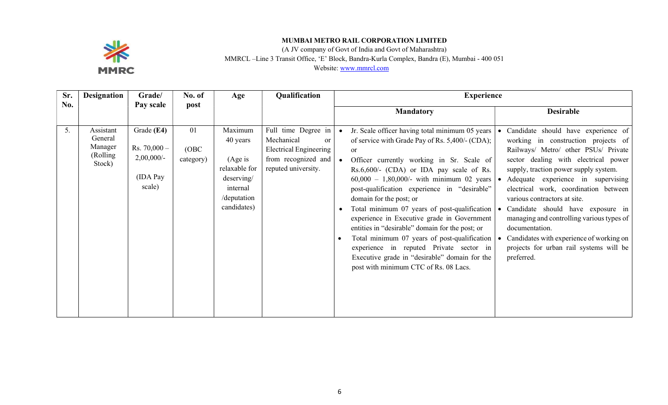

(A JV company of Govt of India and Govt of Maharashtra) MMRCL –Line 3 Transit Office, 'E' Block, Bandra-Kurla Complex, Bandra (E), Mumbai - 400 051 Website: www.mmrcl.com

| Sr.        | <b>Designation</b>                                    | Grade/                                                              | No. of                   | Age                                                                                                      | Qualification                                                                                                          | <b>Experience</b>                                                                                                                                                                                                                                                                                                                                                                                                                                                                                                                                                                                                                                                                                         |                                                                                                                                                                                                                                                                                                                                                                                                                                                                                                                             |
|------------|-------------------------------------------------------|---------------------------------------------------------------------|--------------------------|----------------------------------------------------------------------------------------------------------|------------------------------------------------------------------------------------------------------------------------|-----------------------------------------------------------------------------------------------------------------------------------------------------------------------------------------------------------------------------------------------------------------------------------------------------------------------------------------------------------------------------------------------------------------------------------------------------------------------------------------------------------------------------------------------------------------------------------------------------------------------------------------------------------------------------------------------------------|-----------------------------------------------------------------------------------------------------------------------------------------------------------------------------------------------------------------------------------------------------------------------------------------------------------------------------------------------------------------------------------------------------------------------------------------------------------------------------------------------------------------------------|
| <b>No.</b> |                                                       | Pay scale                                                           | post                     |                                                                                                          |                                                                                                                        | <b>Mandatory</b>                                                                                                                                                                                                                                                                                                                                                                                                                                                                                                                                                                                                                                                                                          | <b>Desirable</b>                                                                                                                                                                                                                                                                                                                                                                                                                                                                                                            |
| 5.         | Assistant<br>General<br>Manager<br>(Rolling<br>Stock) | Grade (E4)<br>Rs. $70,000 -$<br>$2,00,000/$ -<br>(IDA Pay<br>scale) | 01<br>(OBC)<br>category) | Maximum<br>40 years<br>(Age is)<br>relaxable for<br>deserving/<br>internal<br>/deputation<br>candidates) | Full time Degree in<br>Mechanical<br>or<br><b>Electrical Engineering</b><br>from recognized and<br>reputed university. | Jr. Scale officer having total minimum 05 years  <br>of service with Grade Pay of Rs. 5,400/- (CDA);<br><sub>or</sub><br>Officer currently working in Sr. Scale of<br>Rs.6,600/- (CDA) or IDA pay scale of Rs.<br>$60,000 - 1,80,000/$ - with minimum 02 years $\bullet$<br>post-qualification experience in "desirable"<br>domain for the post; or<br>Total minimum 07 years of post-qualification<br>experience in Executive grade in Government<br>entities in "desirable" domain for the post; or<br>Total minimum 07 years of post-qualification  <br>$\bullet$<br>experience in reputed Private sector in<br>Executive grade in "desirable" domain for the<br>post with minimum CTC of Rs. 08 Lacs. | Candidate should have experience of<br>working in construction projects of<br>Railways/ Metro/ other PSUs/ Private<br>sector dealing with electrical power<br>supply, traction power supply system.<br>Adequate experience in supervising<br>electrical work, coordination between<br>various contractors at site.<br>Candidate should have exposure in<br>managing and controlling various types of<br>documentation.<br>Candidates with experience of working on<br>projects for urban rail systems will be<br>preferred. |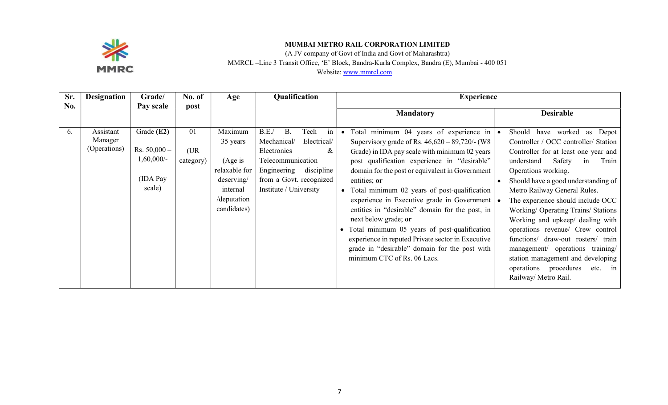

(A JV company of Govt of India and Govt of Maharashtra) MMRCL –Line 3 Transit Office, 'E' Block, Bandra-Kurla Complex, Bandra (E), Mumbai - 400 051

| Sr. | <b>Designation</b>                   | Grade/                                                             | No. of                  | Age                                                                                                      | Qualification                                                                                                                                                                            | <b>Experience</b>                                                                                                                                                                                                                                                                                                                                                                                                                                                                                                                                                                                                                           |                                                                                                                                                                                                                                                                                                                                                                                                                                                                                                                                                                                   |
|-----|--------------------------------------|--------------------------------------------------------------------|-------------------------|----------------------------------------------------------------------------------------------------------|------------------------------------------------------------------------------------------------------------------------------------------------------------------------------------------|---------------------------------------------------------------------------------------------------------------------------------------------------------------------------------------------------------------------------------------------------------------------------------------------------------------------------------------------------------------------------------------------------------------------------------------------------------------------------------------------------------------------------------------------------------------------------------------------------------------------------------------------|-----------------------------------------------------------------------------------------------------------------------------------------------------------------------------------------------------------------------------------------------------------------------------------------------------------------------------------------------------------------------------------------------------------------------------------------------------------------------------------------------------------------------------------------------------------------------------------|
| No. |                                      | Pay scale                                                          | post                    |                                                                                                          |                                                                                                                                                                                          | <b>Mandatory</b>                                                                                                                                                                                                                                                                                                                                                                                                                                                                                                                                                                                                                            | <b>Desirable</b>                                                                                                                                                                                                                                                                                                                                                                                                                                                                                                                                                                  |
| 6.  | Assistant<br>Manager<br>(Operations) | Grade (E2)<br>$Rs. 50,000 -$<br>$1,60,000/-$<br>(IDA Pay<br>scale) | 01<br>(UR)<br>category) | Maximum<br>35 years<br>(Age is)<br>relaxable for<br>deserving/<br>internal<br>/deputation<br>candidates) | B.E.<br><b>B.</b><br>Tech<br>in<br>Electrical/<br>Mechanical/<br>Electronics<br>&<br>Telecommunication<br>Engineering<br>discipline<br>from a Govt. recognized<br>Institute / University | • Total minimum 04 years of experience in $\cdot$<br>Supervisory grade of Rs. $46,620 - 89,720/$ - (W8<br>Grade) in IDA pay scale with minimum 02 years<br>post qualification experience in "desirable"<br>domain for the post or equivalent in Government<br>entities; or<br>• Total minimum 02 years of post-qualification<br>experience in Executive grade in Government<br>entities in "desirable" domain for the post, in<br>next below grade; or<br>Total minimum 05 years of post-qualification<br>experience in reputed Private sector in Executive<br>grade in "desirable" domain for the post with<br>minimum CTC of Rs. 06 Lacs. | Should have worked as Depot<br>Controller / OCC controller/ Station<br>Controller for at least one year and<br>Safety<br>understand<br>in<br>Train<br>Operations working.<br>Should have a good understanding of<br>Metro Railway General Rules.<br>The experience should include OCC<br>Working/ Operating Trains/ Stations<br>Working and upkeep/ dealing with<br>operations revenue/ Crew control<br>functions/ draw-out rosters/ train<br>management/ operations training/<br>station management and developing<br>operations procedures<br>$etc.$ in<br>Railway/ Metro Rail. |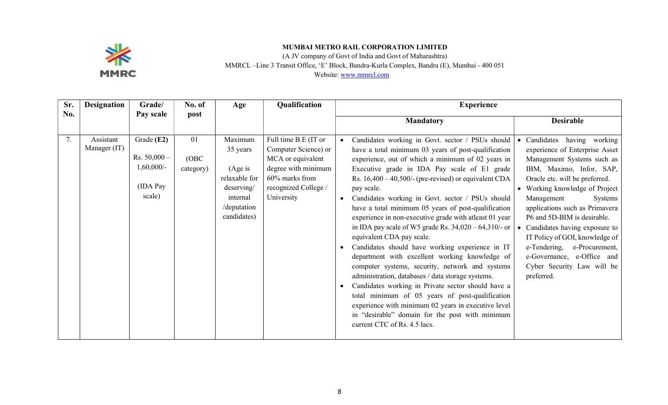

(A JV company of Govt of India and Govt of Maharashtra)

MMRCL –Line 3 Transit Office, 'E' Block, Bandra-Kurla Complex, Bandra (E), Mumbai - 400 051

| Sr. | <b>Designation</b>        | Grade/                                                             | No. of                   | Age                                                                                                      | Qualification                                                                                                                                    | <b>Experience</b>                                                                                                                                                                                                                                                                                                                                                                                                                                                                                                                                                                                                                                                                                                                                                                                                                                                                                                                                                                                                    |                                                                                                                                                                                                                                                                                                                                                                                                                                                                       |
|-----|---------------------------|--------------------------------------------------------------------|--------------------------|----------------------------------------------------------------------------------------------------------|--------------------------------------------------------------------------------------------------------------------------------------------------|----------------------------------------------------------------------------------------------------------------------------------------------------------------------------------------------------------------------------------------------------------------------------------------------------------------------------------------------------------------------------------------------------------------------------------------------------------------------------------------------------------------------------------------------------------------------------------------------------------------------------------------------------------------------------------------------------------------------------------------------------------------------------------------------------------------------------------------------------------------------------------------------------------------------------------------------------------------------------------------------------------------------|-----------------------------------------------------------------------------------------------------------------------------------------------------------------------------------------------------------------------------------------------------------------------------------------------------------------------------------------------------------------------------------------------------------------------------------------------------------------------|
| No. |                           | Pay scale                                                          | post                     |                                                                                                          |                                                                                                                                                  | <b>Mandatory</b>                                                                                                                                                                                                                                                                                                                                                                                                                                                                                                                                                                                                                                                                                                                                                                                                                                                                                                                                                                                                     | <b>Desirable</b>                                                                                                                                                                                                                                                                                                                                                                                                                                                      |
| 7.  | Assistant<br>Manager (IT) | Grade (E2)<br>Rs. $50,000 -$<br>$1,60,000/-$<br>(IDA Pay<br>scale) | 01<br>(OBC)<br>category) | Maximum<br>35 years<br>(Age is)<br>relaxable for<br>deserving/<br>internal<br>/deputation<br>candidates) | Full time B.E (IT or<br>Computer Science) or<br>MCA or equivalent<br>degree with minimum<br>60% marks from<br>recognized College /<br>University | Candidates working in Govt. sector / PSUs should<br>have a total minimum 03 years of post-qualification<br>experience, out of which a minimum of 02 years in<br>Executive grade in IDA Pay scale of E1 grade<br>Rs. $16,400 - 40,500/$ - (pre-revised) or equivalent CDA<br>pay scale.<br>Candidates working in Govt. sector / PSUs should<br>have a total minimum 05 years of post-qualification<br>experience in non-executive grade with atleast 01 year<br>in IDA pay scale of W5 grade Rs. $34,020 - 64,310/$ - or<br>equivalent CDA pay scale.<br>Candidates should have working experience in IT<br>department with excellent working knowledge of<br>computer systems, security, network and systems<br>administration, databases / data storage systems.<br>Candidates working in Private sector should have a<br>total minimum of 05 years of post-qualification<br>experience with minimum 02 years in executive level<br>in "desirable" domain for the post with minimum<br>current CTC of Rs. 4.5 lacs. | • Candidates<br>having working<br>experience of Enterprise Asset<br>Management Systems such as<br>IBM, Maximo, Infor, SAP,<br>Oracle etc. will be preferred.<br>Working knowledge of Project<br>Management<br>Systems<br>applications such as Primavera<br>P6 and 5D-BIM is desirable.<br>Candidates having exposure to<br>IT Policy of GOI, knowledge of<br>e-Tendering,<br>e-Procurement,<br>e-Governance, e-Office and<br>Cyber Security Law will be<br>preferred. |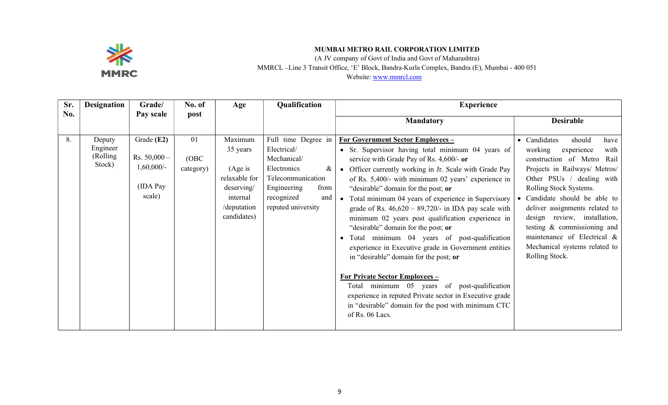

(A JV company of Govt of India and Govt of Maharashtra) MMRCL –Line 3 Transit Office, 'E' Block, Bandra-Kurla Complex, Bandra (E), Mumbai - 400 051 Website: www.mmrcl.com

| Sr. | <b>Designation</b>                        | Grade/                                                              | No. of                   | Age                                                                                                      | Qualification                                                                                                                                                | <b>Experience</b>                                                                                                                                                                                                                                                                                                                                                                                                                                                                                                                                                                                                                                                                                                                                                                                                                                                                                          |                                                                                                                                                                                                                                                                                                                                                                                                         |  |
|-----|-------------------------------------------|---------------------------------------------------------------------|--------------------------|----------------------------------------------------------------------------------------------------------|--------------------------------------------------------------------------------------------------------------------------------------------------------------|------------------------------------------------------------------------------------------------------------------------------------------------------------------------------------------------------------------------------------------------------------------------------------------------------------------------------------------------------------------------------------------------------------------------------------------------------------------------------------------------------------------------------------------------------------------------------------------------------------------------------------------------------------------------------------------------------------------------------------------------------------------------------------------------------------------------------------------------------------------------------------------------------------|---------------------------------------------------------------------------------------------------------------------------------------------------------------------------------------------------------------------------------------------------------------------------------------------------------------------------------------------------------------------------------------------------------|--|
| No. |                                           | Pay scale                                                           | post                     |                                                                                                          |                                                                                                                                                              | <b>Mandatory</b>                                                                                                                                                                                                                                                                                                                                                                                                                                                                                                                                                                                                                                                                                                                                                                                                                                                                                           | <b>Desirable</b>                                                                                                                                                                                                                                                                                                                                                                                        |  |
| 8.  | Deputy<br>Engineer<br>(Rolling)<br>Stock) | Grade (E2)<br>Rs. $50,000 -$<br>$1,60,000/-$<br>(IDA Pay)<br>scale) | 01<br>(OBC)<br>category) | Maximum<br>35 years<br>(Age is)<br>relaxable for<br>deserving/<br>internal<br>/deputation<br>candidates) | Full time Degree in<br>Electrical/<br>Mechanical/<br>Electronics<br>&<br>Telecommunication<br>Engineering<br>from<br>recognized<br>and<br>reputed university | <b>For Government Sector Employees -</b><br>• Sr. Supervisor having total minimum 04 years of<br>service with Grade Pay of Rs. 4,600/- or<br>Officer currently working in Jr. Scale with Grade Pay<br>of Rs. 5,400/- with minimum 02 years' experience in<br>"desirable" domain for the post; or<br>Total minimum 04 years of experience in Supervisory<br>grade of Rs. $46,620 - 89,720/1$ in IDA pay scale with<br>minimum 02 years post qualification experience in<br>"desirable" domain for the post; or<br>Total minimum 04 years of post-qualification<br>$\bullet$<br>experience in Executive grade in Government entities<br>in "desirable" domain for the post; or<br><b>For Private Sector Employees –</b><br>Total minimum 05 years of post-qualification<br>experience in reputed Private sector in Executive grade<br>in "desirable" domain for the post with minimum CTC<br>of Rs. 06 Lacs. | • Candidates<br>should<br>have<br>experience<br>working<br>with<br>construction of Metro Rail<br>Projects in Railways/ Metros/<br>Other PSUs / dealing with<br>Rolling Stock Systems.<br>Candidate should be able to<br>deliver assignments related to<br>design review, installation,<br>testing & commissioning and<br>maintenance of Electrical &<br>Mechanical systems related to<br>Rolling Stock. |  |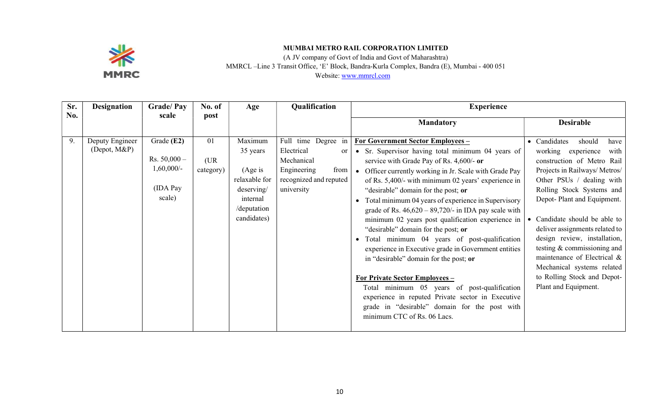

(A JV company of Govt of India and Govt of Maharashtra)

MMRCL –Line 3 Transit Office, 'E' Block, Bandra-Kurla Complex, Bandra (E), Mumbai - 400 051

| Sr. | <b>Designation</b>                 | <b>Grade/Pay</b>                                                     | No. of                  | Age                                                                                                      | Qualification                                                                                                                   | <b>Experience</b>                                                                                                                                                                                                                                                                                                                                                                                                                                                                                                                                                                                                                                                                                                                                                                                                                                                                                  |                                                                                                                                                                                                                                                                                                                                                                                                                                                                          |
|-----|------------------------------------|----------------------------------------------------------------------|-------------------------|----------------------------------------------------------------------------------------------------------|---------------------------------------------------------------------------------------------------------------------------------|----------------------------------------------------------------------------------------------------------------------------------------------------------------------------------------------------------------------------------------------------------------------------------------------------------------------------------------------------------------------------------------------------------------------------------------------------------------------------------------------------------------------------------------------------------------------------------------------------------------------------------------------------------------------------------------------------------------------------------------------------------------------------------------------------------------------------------------------------------------------------------------------------|--------------------------------------------------------------------------------------------------------------------------------------------------------------------------------------------------------------------------------------------------------------------------------------------------------------------------------------------------------------------------------------------------------------------------------------------------------------------------|
| No. |                                    | scale                                                                | post                    |                                                                                                          |                                                                                                                                 | <b>Mandatory</b>                                                                                                                                                                                                                                                                                                                                                                                                                                                                                                                                                                                                                                                                                                                                                                                                                                                                                   | <b>Desirable</b>                                                                                                                                                                                                                                                                                                                                                                                                                                                         |
| 9.  | Deputy Engineer<br>$(Depot, M\&P)$ | Grade $(E2)$<br>Rs. $50,000 -$<br>$1,60,000/-$<br>(IDA Pay<br>scale) | 01<br>(UR)<br>category) | Maximum<br>35 years<br>(Age is)<br>relaxable for<br>deserving/<br>internal<br>/deputation<br>candidates) | Full time Degree in<br>Electrical<br><sub>or</sub><br>Mechanical<br>Engineering<br>from<br>recognized and reputed<br>university | For Government Sector Employees -<br>Sr. Supervisor having total minimum 04 years of<br>service with Grade Pay of Rs. 4,600/- or<br>Officer currently working in Jr. Scale with Grade Pay<br>$\bullet$<br>of Rs. 5,400/- with minimum 02 years' experience in<br>"desirable" domain for the post; or<br>Total minimum 04 years of experience in Supervisory<br>grade of Rs. $46,620 - 89,720/$ - in IDA pay scale with<br>minimum 02 years post qualification experience in<br>"desirable" domain for the post; or<br>Total minimum 04 years of post-qualification<br>experience in Executive grade in Government entities<br>in "desirable" domain for the post; or<br><b>For Private Sector Employees -</b><br>Total minimum 05 years of post-qualification<br>experience in reputed Private sector in Executive<br>grade in "desirable" domain for the post with<br>minimum CTC of Rs. 06 Lacs. | • Candidates<br>should<br>have<br>working experience<br>with<br>construction of Metro Rail<br>Projects in Railways/Metros/<br>Other PSUs / dealing with<br>Rolling Stock Systems and<br>Depot-Plant and Equipment.<br>• Candidate should be able to<br>deliver assignments related to<br>design review, installation,<br>testing & commissioning and<br>maintenance of Electrical &<br>Mechanical systems related<br>to Rolling Stock and Depot-<br>Plant and Equipment. |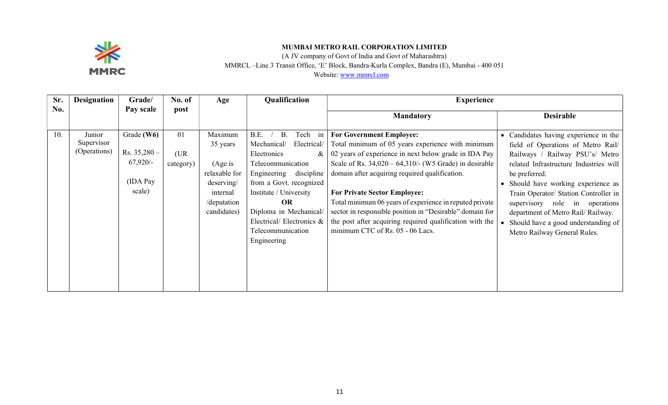

(A JV company of Govt of India and Govt of Maharashtra)

MMRCL –Line 3 Transit Office, 'E' Block, Bandra-Kurla Complex, Bandra (E), Mumbai - 400 051

| Sr. | <b>Designation</b>                   | Grade/                                                             | No. of                  | Age                                                                                                      | Qualification                                                                                                                                                                                                                                                                         | <b>Experience</b>                                                                                                                                                                                                                                                                                                                                                                                                                                                                                                          |                                                                                                                                                                                                                                                                                                                                                                                                                     |
|-----|--------------------------------------|--------------------------------------------------------------------|-------------------------|----------------------------------------------------------------------------------------------------------|---------------------------------------------------------------------------------------------------------------------------------------------------------------------------------------------------------------------------------------------------------------------------------------|----------------------------------------------------------------------------------------------------------------------------------------------------------------------------------------------------------------------------------------------------------------------------------------------------------------------------------------------------------------------------------------------------------------------------------------------------------------------------------------------------------------------------|---------------------------------------------------------------------------------------------------------------------------------------------------------------------------------------------------------------------------------------------------------------------------------------------------------------------------------------------------------------------------------------------------------------------|
| No. |                                      | Pay scale                                                          | post                    |                                                                                                          |                                                                                                                                                                                                                                                                                       | <b>Mandatory</b>                                                                                                                                                                                                                                                                                                                                                                                                                                                                                                           | <b>Desirable</b>                                                                                                                                                                                                                                                                                                                                                                                                    |
| 10. | Junior<br>Supervisor<br>(Operations) | Grade $(W6)$<br>Rs. $35,280 -$<br>$67,920/-$<br>(IDA Pay<br>scale) | 01<br>(UR)<br>category) | Maximum<br>35 years<br>(Age is)<br>relaxable for<br>deserving/<br>internal<br>/deputation<br>candidates) | B.E.<br>Tech in<br>В.<br>Mechanical/<br>Electrical/<br>Electronics<br>&<br>Telecommunication<br>discipline<br>Engineering<br>from a Govt. recognized<br>Institute / University<br><b>OR</b><br>Diploma in Mechanical/<br>Electrical/Electronics &<br>Telecommunication<br>Engineering | <b>For Government Employee:</b><br>Total minimum of 05 years experience with minimum<br>02 years of experience in next below grade in IDA Pay<br>Scale of Rs. $34,020 - 64,310/$ - (W5 Grade) in desirable<br>domain after acquiring required qualification.<br><b>For Private Sector Employee:</b><br>Total minimum 06 years of experience in reputed private<br>sector in responsible position in "Desirable" domain for<br>the post after acquiring required qualification with the<br>minimum CTC of Rs. 05 - 06 Lacs. | • Candidates having experience in the<br>field of Operations of Metro Rail/<br>Railways / Railway PSU's/ Metro<br>related Infrastructure Industries will<br>be preferred.<br>Should have working experience as<br>$\bullet$<br>Train Operator/ Station Controller in<br>supervisory role in operations<br>department of Metro Rail/ Railway.<br>Should have a good understanding of<br>Metro Railway General Rules. |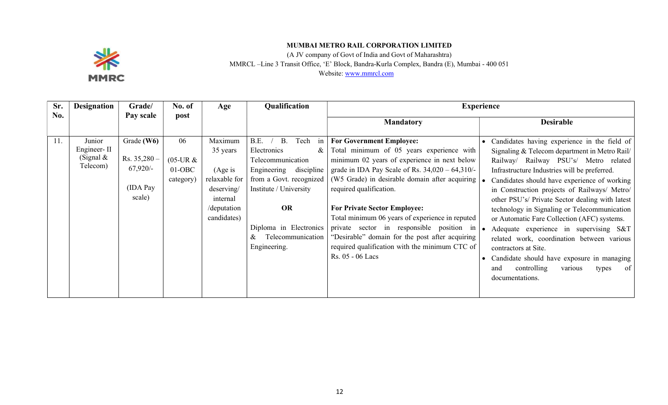

(A JV company of Govt of India and Govt of Maharashtra)

MMRCL –Line 3 Transit Office, 'E' Block, Bandra-Kurla Complex, Bandra (E), Mumbai - 400 051

| Sr. | <b>Designation</b>                               | Grade/                                                           | No. of                                     | Age                                                                                                      | Qualification                                                                                                                                                                                                                                  |                                                                                                                                                                                                                                                                                                                                                                                                                                                                                                                                 | <b>Experience</b>                                                                                                                                                                                                                                                                                                                                                                                                                                                                                                                                                                                                                                                                  |
|-----|--------------------------------------------------|------------------------------------------------------------------|--------------------------------------------|----------------------------------------------------------------------------------------------------------|------------------------------------------------------------------------------------------------------------------------------------------------------------------------------------------------------------------------------------------------|---------------------------------------------------------------------------------------------------------------------------------------------------------------------------------------------------------------------------------------------------------------------------------------------------------------------------------------------------------------------------------------------------------------------------------------------------------------------------------------------------------------------------------|------------------------------------------------------------------------------------------------------------------------------------------------------------------------------------------------------------------------------------------------------------------------------------------------------------------------------------------------------------------------------------------------------------------------------------------------------------------------------------------------------------------------------------------------------------------------------------------------------------------------------------------------------------------------------------|
| No. |                                                  | Pay scale                                                        | post                                       |                                                                                                          |                                                                                                                                                                                                                                                | <b>Mandatory</b>                                                                                                                                                                                                                                                                                                                                                                                                                                                                                                                | <b>Desirable</b>                                                                                                                                                                                                                                                                                                                                                                                                                                                                                                                                                                                                                                                                   |
| 11. | Junior<br>Engineer-II<br>(Signal $&$<br>Telecom) | Grade $(W6)$<br>Rs. 35,280 -<br>$67,920/-$<br>(IDA Pay<br>scale) | 06<br>$(05$ -UR &<br>$01-OBC$<br>category) | Maximum<br>35 years<br>(Age is)<br>relaxable for<br>deserving/<br>internal<br>/deputation<br>candidates) | Tech<br>B.E.<br><b>B.</b><br>in<br>Electronics<br>&<br>Telecommunication<br>Engineering<br>discipline<br>from a Govt. recognized<br>Institute / University<br><b>OR</b><br>Diploma in Electronics<br>Telecommunication<br>$\&$<br>Engineering. | <b>For Government Employee:</b><br>Total minimum of 05 years experience with<br>minimum 02 years of experience in next below<br>grade in IDA Pay Scale of Rs. $34,020 - 64,310$ /-<br>(W5 Grade) in desirable domain after acquiring<br>required qualification.<br><b>For Private Sector Employee:</b><br>Total minimum 06 years of experience in reputed<br>private sector in responsible position in<br>"Desirable" domain for the post after acquiring<br>required qualification with the minimum CTC of<br>Rs. 05 - 06 Lacs | • Candidates having experience in the field of<br>Signaling & Telecom department in Metro Rail/<br>Railway Railway PSU's/ Metro related<br>Infrastructure Industries will be preferred.<br>Candidates should have experience of working<br>in Construction projects of Railways/ Metro/<br>other PSU's/ Private Sector dealing with latest<br>technology in Signaling or Telecommunication<br>or Automatic Fare Collection (AFC) systems.<br>Adequate experience in supervising S&T<br>related work, coordination between various<br>contractors at Site.<br>Candidate should have exposure in managing<br>controlling<br>$\circ$ of<br>and<br>various<br>types<br>documentations. |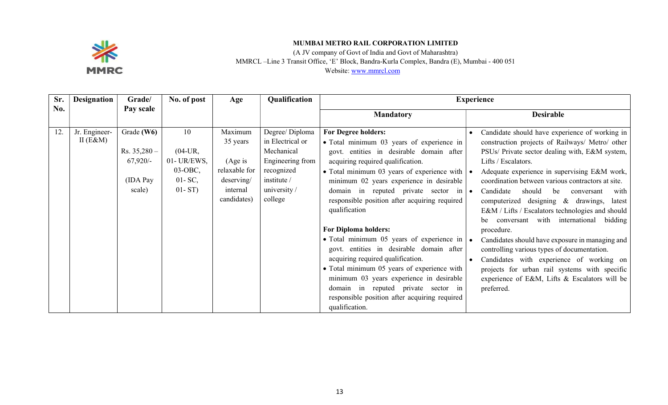

(A JV company of Govt of India and Govt of Maharashtra) MMRCL –Line 3 Transit Office, 'E' Block, Bandra-Kurla Complex, Bandra (E), Mumbai - 400 051 Website: www.mmrcl.com

| Sr. | <b>Designation</b>           | Grade/                                                           | No. of post                                                                 | Age                                                                                       | Qualification                                                                                                                | <b>Experience</b>                                                                                                                                                                                                                                                                                                                                                                                                                                                                                                                                                                                                                                                                                                                                              |                                                                                                                                                                                                                                                                                                                                                                                                                                                                                                                                                                                                                                                                                                                                                                                   |  |
|-----|------------------------------|------------------------------------------------------------------|-----------------------------------------------------------------------------|-------------------------------------------------------------------------------------------|------------------------------------------------------------------------------------------------------------------------------|----------------------------------------------------------------------------------------------------------------------------------------------------------------------------------------------------------------------------------------------------------------------------------------------------------------------------------------------------------------------------------------------------------------------------------------------------------------------------------------------------------------------------------------------------------------------------------------------------------------------------------------------------------------------------------------------------------------------------------------------------------------|-----------------------------------------------------------------------------------------------------------------------------------------------------------------------------------------------------------------------------------------------------------------------------------------------------------------------------------------------------------------------------------------------------------------------------------------------------------------------------------------------------------------------------------------------------------------------------------------------------------------------------------------------------------------------------------------------------------------------------------------------------------------------------------|--|
| No. |                              | Pay scale                                                        |                                                                             |                                                                                           |                                                                                                                              | <b>Mandatory</b>                                                                                                                                                                                                                                                                                                                                                                                                                                                                                                                                                                                                                                                                                                                                               | <b>Desirable</b>                                                                                                                                                                                                                                                                                                                                                                                                                                                                                                                                                                                                                                                                                                                                                                  |  |
| 12. | Jr. Engineer-<br>II $(E\&M)$ | Grade (W6)<br>$Rs. 35,280-$<br>$67,920/-$<br>(IDA Pay)<br>scale) | 10<br>$(04$ -UR,<br>01- UR/EWS,<br>$03-OBC$ ,<br>$01 - SC$ ,<br>$01 - ST$ ) | Maximum<br>35 years<br>(Age is)<br>relaxable for<br>deserving/<br>internal<br>candidates) | Degree/Diploma<br>in Electrical or<br>Mechanical<br>Engineering from<br>recognized<br>institute /<br>university /<br>college | <b>For Degree holders:</b><br>• Total minimum 03 years of experience in<br>govt. entities in desirable domain after<br>acquiring required qualification.<br>• Total minimum 03 years of experience with $  \bullet  $<br>minimum 02 years experience in desirable<br>domain in reputed private sector in $\bullet$<br>responsible position after acquiring required<br>qualification<br><b>For Diploma holders:</b><br>• Total minimum 05 years of experience in $\cdot$<br>govt. entities in desirable domain after<br>acquiring required qualification.<br>• Total minimum 05 years of experience with<br>minimum 03 years experience in desirable<br>domain in reputed private sector in<br>responsible position after acquiring required<br>qualification. | Candidate should have experience of working in<br>construction projects of Railways/ Metro/ other<br>PSUs/ Private sector dealing with, E&M system,<br>Lifts / Escalators.<br>Adequate experience in supervising E&M work,<br>coordination between various contractors at site.<br>Candidate<br>should<br>be<br>with<br>conversant<br>computerized designing & drawings,<br>latest<br>E&M / Lifts / Escalators technologies and should<br>with international bidding<br>conversant<br>be<br>procedure.<br>Candidates should have exposure in managing and<br>controlling various types of documentation.<br>Candidates with experience of working on<br>$\bullet$<br>projects for urban rail systems with specific<br>experience of E&M, Lifts & Escalators will be<br>preferred. |  |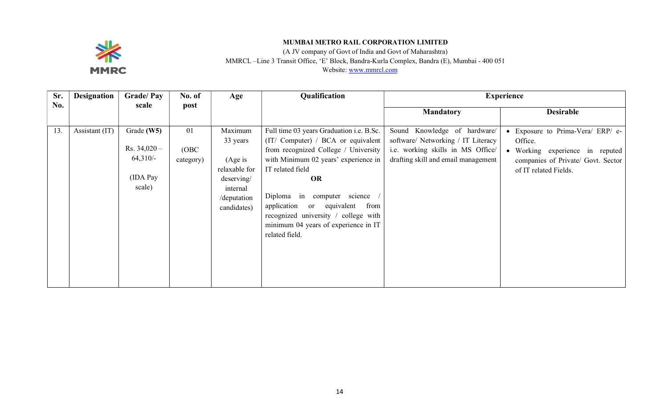

(A JV company of Govt of India and Govt of Maharashtra) MMRCL –Line 3 Transit Office, 'E' Block, Bandra-Kurla Complex, Bandra (E), Mumbai - 400 051

| Sr. | <b>Designation</b> | <b>Grade/Pay</b>                                                   | No. of                   | Age                                                                                                      | Qualification                                                                                                                                                                                                                                                                                                                                                                     | <b>Experience</b>                                                                                                                              |                                                                                                                                            |
|-----|--------------------|--------------------------------------------------------------------|--------------------------|----------------------------------------------------------------------------------------------------------|-----------------------------------------------------------------------------------------------------------------------------------------------------------------------------------------------------------------------------------------------------------------------------------------------------------------------------------------------------------------------------------|------------------------------------------------------------------------------------------------------------------------------------------------|--------------------------------------------------------------------------------------------------------------------------------------------|
| No. |                    | scale                                                              | post                     |                                                                                                          |                                                                                                                                                                                                                                                                                                                                                                                   | <b>Mandatory</b>                                                                                                                               | <b>Desirable</b>                                                                                                                           |
| 13. | Assistant (IT)     | Grade $(W5)$<br>Rs. $34,020 -$<br>$64,310/-$<br>(IDA Pay<br>scale) | 01<br>(OBC)<br>category) | Maximum<br>33 years<br>(Age is)<br>relaxable for<br>deserving/<br>internal<br>/deputation<br>candidates) | Full time 03 years Graduation i.e. B.Sc.<br>(IT/ Computer) / BCA or equivalent<br>from recognized College / University<br>with Minimum 02 years' experience in<br>IT related field<br><b>OR</b><br>Diploma<br>computer science<br>in<br>application<br>equivalent<br>from<br>or<br>recognized university / college with<br>minimum 04 years of experience in IT<br>related field. | Sound Knowledge of hardware/<br>software/ Networking / IT Literacy<br>i.e. working skills in MS Office/<br>drafting skill and email management | Exposure to Prima-Vera/ ERP/ e-<br>Office.<br>Working experience in reputed<br>companies of Private/ Govt. Sector<br>of IT related Fields. |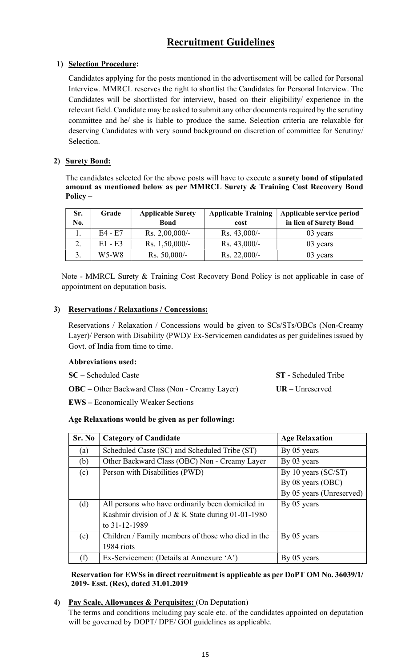# Recruitment Guidelines

# 1) Selection Procedure:

Candidates applying for the posts mentioned in the advertisement will be called for Personal Interview. MMRCL reserves the right to shortlist the Candidates for Personal Interview. The Candidates will be shortlisted for interview, based on their eligibility/ experience in the relevant field. Candidate may be asked to submit any other documents required by the scrutiny committee and he/ she is liable to produce the same. Selection criteria are relaxable for deserving Candidates with very sound background on discretion of committee for Scrutiny/ Selection.

# 2) Surety Bond:

The candidates selected for the above posts will have to execute a surety bond of stipulated amount as mentioned below as per MMRCL Surety & Training Cost Recovery Bond Policy –

| Sr. | Grade     | <b>Applicable Surety</b> | <b>Applicable Training</b> | Applicable service period |
|-----|-----------|--------------------------|----------------------------|---------------------------|
| No. |           | <b>Bond</b>              | cost                       | in lieu of Surety Bond    |
|     | $E4 - E7$ | Rs. $2,00,000/-$         | $Rs. 43,000/-$             | 03 years                  |
|     | $E1 - E3$ | Rs. $1,50,000/-$         | Rs. $43,000/-$             | 03 years                  |
|     | $W5-W8$   | Rs. $50,000/-$           | Rs. 22,000/-               | 03 years                  |

Note - MMRCL Surety & Training Cost Recovery Bond Policy is not applicable in case of appointment on deputation basis.

# 3) Reservations / Relaxations / Concessions:

Reservations / Relaxation / Concessions would be given to SCs/STs/OBCs (Non-Creamy Layer)/ Person with Disability (PWD)/ Ex-Servicemen candidates as per guidelines issued by Govt. of India from time to time.

# Abbreviations used:

| SC – Scheduled Caste                                   | <b>ST</b> - Scheduled Tribe |
|--------------------------------------------------------|-----------------------------|
| <b>OBC</b> – Other Backward Class (Non - Creamy Layer) | $UR - Unreserved$           |

EWS – Economically Weaker Sections

# Age Relaxations would be given as per following:

| Sr. No | <b>Category of Candidate</b>                        | <b>Age Relaxation</b>    |
|--------|-----------------------------------------------------|--------------------------|
| (a)    | Scheduled Caste (SC) and Scheduled Tribe (ST)       | By 05 years              |
| (b)    | Other Backward Class (OBC) Non - Creamy Layer       | By 03 years              |
| (c)    | Person with Disabilities (PWD)                      | By 10 years $(SC/ST)$    |
|        |                                                     | By 08 years (OBC)        |
|        |                                                     | By 05 years (Unreserved) |
| (d)    | All persons who have ordinarily been domiciled in   | By 05 years              |
|        | Kashmir division of J & K State during $01-01-1980$ |                          |
|        | to 31-12-1989                                       |                          |
| (e)    | Children / Family members of those who died in the  | By 05 years              |
|        | 1984 riots                                          |                          |
| (f)    | Ex-Servicemen: (Details at Annexure 'A')            | By 05 years              |

### Reservation for EWSs in direct recruitment is applicable as per DoPT OM No. 36039/1/ 2019- Esst. (Res), dated 31.01.2019

# 4) Pay Scale, Allowances & Perquisites: (On Deputation)

The terms and conditions including pay scale etc. of the candidates appointed on deputation will be governed by DOPT/ DPE/ GOI guidelines as applicable.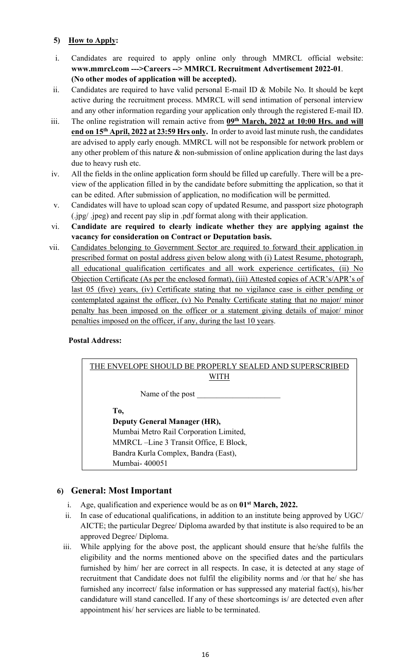# 5) How to Apply:

- i. Candidates are required to apply online only through MMRCL official website: www.mmrcl.com --->Careers --> MMRCL Recruitment Advertisement 2022-01. (No other modes of application will be accepted).
- ii. Candidates are required to have valid personal E-mail ID & Mobile No. It should be kept active during the recruitment process. MMRCL will send intimation of personal interview and any other information regarding your application only through the registered E-mail ID.
- iii. The online registration will remain active from 09<sup>th</sup> March, 2022 at 10:00 Hrs. and will end on 15<sup>th</sup> April, 2022 at 23:59 Hrs only. In order to avoid last minute rush, the candidates are advised to apply early enough. MMRCL will not be responsible for network problem or any other problem of this nature  $\&$  non-submission of online application during the last days due to heavy rush etc.
- iv. All the fields in the online application form should be filled up carefully. There will be a preview of the application filled in by the candidate before submitting the application, so that it can be edited. After submission of application, no modification will be permitted.
- v. Candidates will have to upload scan copy of updated Resume, and passport size photograph (.jpg/ .jpeg) and recent pay slip in .pdf format along with their application.
- vi. Candidate are required to clearly indicate whether they are applying against the vacancy for consideration on Contract or Deputation basis.
- vii. Candidates belonging to Government Sector are required to forward their application in prescribed format on postal address given below along with (i) Latest Resume, photograph, all educational qualification certificates and all work experience certificates, (ii) No Objection Certificate (As per the enclosed format), (iii) Attested copies of ACR's/APR's of last 05 (five) years, (iv) Certificate stating that no vigilance case is either pending or contemplated against the officer, (v) No Penalty Certificate stating that no major/ minor penalty has been imposed on the officer or a statement giving details of major/ minor penalties imposed on the officer, if any, during the last 10 years.

# Postal Address:



# 6) General: Most Important

- i. Age, qualification and experience would be as on  $01<sup>st</sup> March, 2022$ .
- ii. In case of educational qualifications, in addition to an institute being approved by UGC/ AICTE; the particular Degree/ Diploma awarded by that institute is also required to be an approved Degree/ Diploma.
- iii. While applying for the above post, the applicant should ensure that he/she fulfils the eligibility and the norms mentioned above on the specified dates and the particulars furnished by him/ her are correct in all respects. In case, it is detected at any stage of recruitment that Candidate does not fulfil the eligibility norms and /or that he/ she has furnished any incorrect/ false information or has suppressed any material fact(s), his/her candidature will stand cancelled. If any of these shortcomings is/ are detected even after appointment his/ her services are liable to be terminated.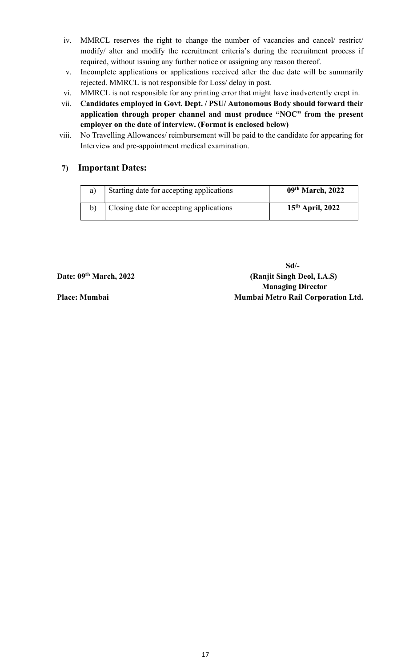- iv. MMRCL reserves the right to change the number of vacancies and cancel/ restrict/ modify/ alter and modify the recruitment criteria's during the recruitment process if required, without issuing any further notice or assigning any reason thereof.
- v. Incomplete applications or applications received after the due date will be summarily rejected. MMRCL is not responsible for Loss/ delay in post.
- vi. MMRCL is not responsible for any printing error that might have inadvertently crept in.
- vii. Candidates employed in Govt. Dept. / PSU/ Autonomous Body should forward their application through proper channel and must produce "NOC" from the present employer on the date of interview. (Format is enclosed below)
- viii. No Travelling Allowances/ reimbursement will be paid to the candidate for appearing for Interview and pre-appointment medical examination.

# 7) Important Dates:

| a) | Starting date for accepting applications | 09th March, 2022   |
|----|------------------------------------------|--------------------|
|    | Closing date for accepting applications  | $15th$ April, 2022 |

 Sd/- Date: 09<sup>th</sup> March, 2022 (Ranjit Singh Deol, I.A.S) Managing Director Place: Mumbai Mumbai Metro Rail Corporation Ltd.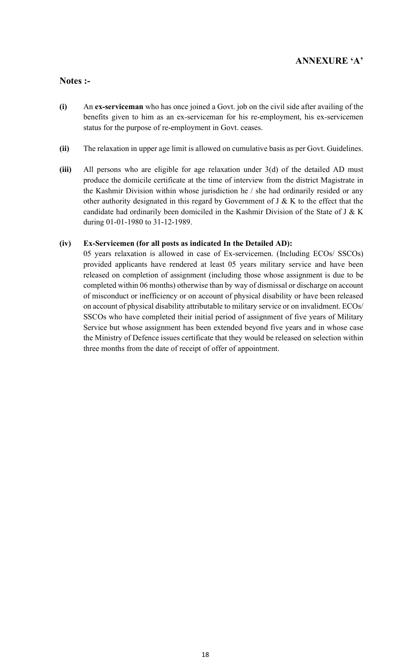# ANNEXURE 'A'

# Notes :-

- (i) An ex-serviceman who has once joined a Govt. job on the civil side after availing of the benefits given to him as an ex-serviceman for his re-employment, his ex-servicemen status for the purpose of re-employment in Govt. ceases.
- (ii) The relaxation in upper age limit is allowed on cumulative basis as per Govt. Guidelines.
- (iii) All persons who are eligible for age relaxation under 3(d) of the detailed AD must produce the domicile certificate at the time of interview from the district Magistrate in the Kashmir Division within whose jurisdiction he / she had ordinarily resided or any other authority designated in this regard by Government of J & K to the effect that the candidate had ordinarily been domiciled in the Kashmir Division of the State of J & K during 01-01-1980 to 31-12-1989.

### (iv) Ex-Servicemen (for all posts as indicated In the Detailed AD):

05 years relaxation is allowed in case of Ex-servicemen. (Including ECOs/ SSCOs) provided applicants have rendered at least 05 years military service and have been released on completion of assignment (including those whose assignment is due to be completed within 06 months) otherwise than by way of dismissal or discharge on account of misconduct or inefficiency or on account of physical disability or have been released on account of physical disability attributable to military service or on invalidment. ECOs/ SSCOs who have completed their initial period of assignment of five years of Military Service but whose assignment has been extended beyond five years and in whose case the Ministry of Defence issues certificate that they would be released on selection within three months from the date of receipt of offer of appointment.